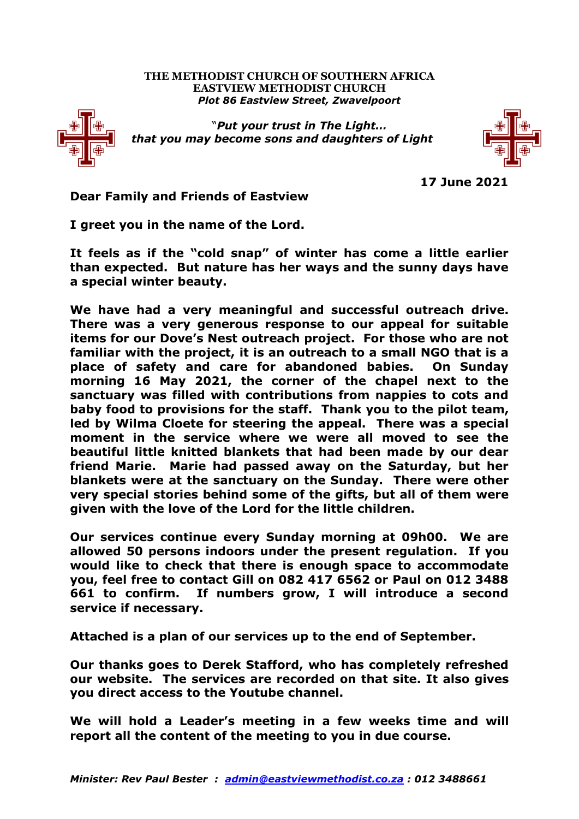## **THE METHODIST CHURCH OF SOUTHERN AFRICA EASTVIEW METHODIST CHURCH** *Plot 86 Eastview Street, Zwavelpoort*



"*Put your trust in The Light… that you may become sons and daughters of Light*



**17 June 2021**

**Dear Family and Friends of Eastview**

**I greet you in the name of the Lord.**

**It feels as if the "cold snap" of winter has come a little earlier than expected. But nature has her ways and the sunny days have a special winter beauty.**

**We have had a very meaningful and successful outreach drive. There was a very generous response to our appeal for suitable items for our Dove's Nest outreach project. For those who are not familiar with the project, it is an outreach to a small NGO that is a place of safety and care for abandoned babies. On Sunday morning 16 May 2021, the corner of the chapel next to the sanctuary was filled with contributions from nappies to cots and baby food to provisions for the staff. Thank you to the pilot team, led by Wilma Cloete for steering the appeal. There was a special moment in the service where we were all moved to see the beautiful little knitted blankets that had been made by our dear friend Marie. Marie had passed away on the Saturday, but her blankets were at the sanctuary on the Sunday. There were other very special stories behind some of the gifts, but all of them were given with the love of the Lord for the little children.** 

**Our services continue every Sunday morning at 09h00. We are allowed 50 persons indoors under the present regulation. If you would like to check that there is enough space to accommodate you, feel free to contact Gill on 082 417 6562 or Paul on 012 3488 661 to confirm. If numbers grow, I will introduce a second service if necessary.**

**Attached is a plan of our services up to the end of September.** 

**Our thanks goes to Derek Stafford, who has completely refreshed our website. The services are recorded on that site. It also gives you direct access to the Youtube channel.** 

**We will hold a Leader's meeting in a few weeks time and will report all the content of the meeting to you in due course.**